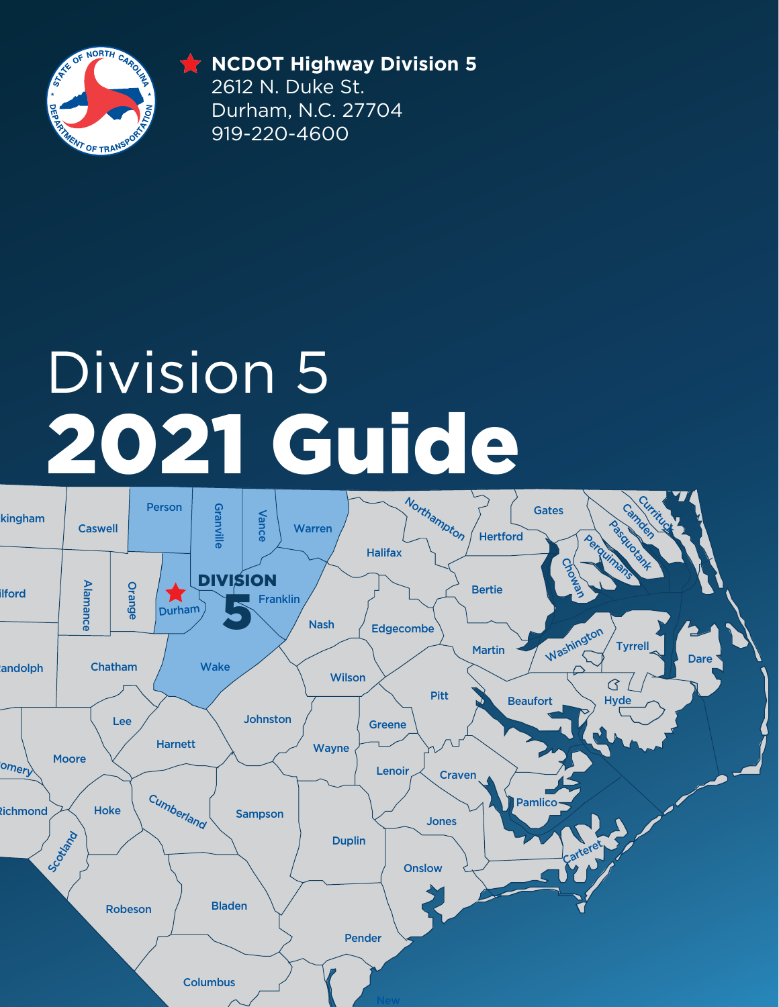

**DIVISION 5 NCDOT Highway Division 5** 2612 N. Duke St. Durham, N.C. 27704 919-220-4600

# 2021 Guide Division 5

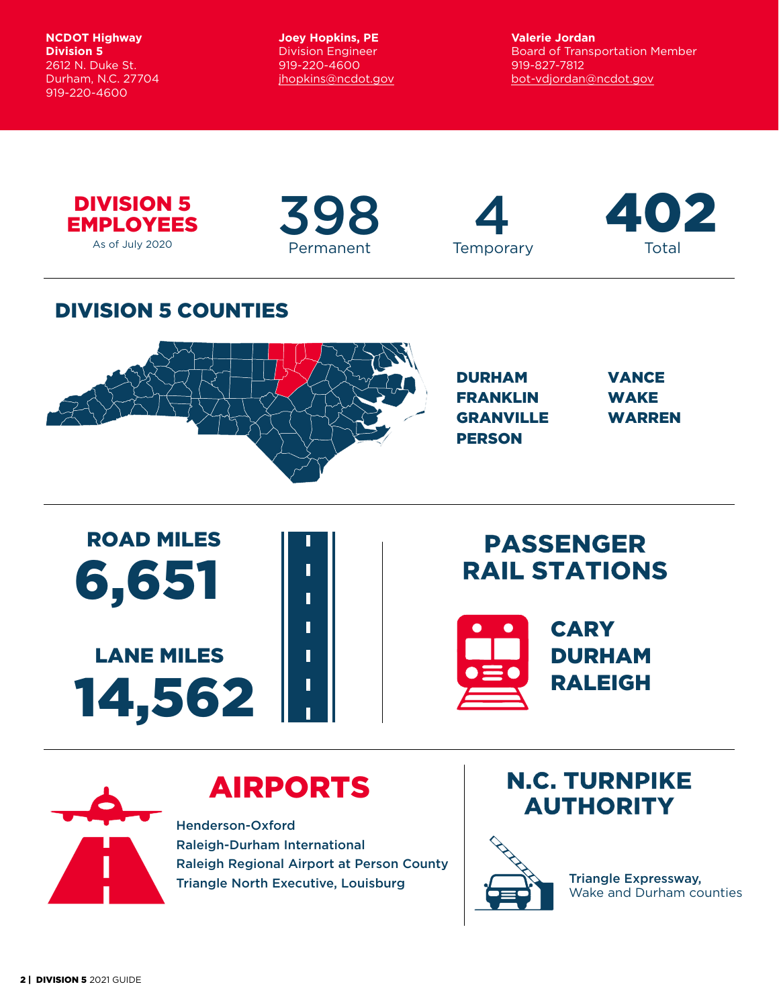**NCDOT Highway Division 5** 2612 N. Duke St. Durham, N.C. 27704 919-220-4600

**Joey Hopkins, PE** Division Engineer 919-220-4600 [jhopkins@ncdot.gov](mailto:jhopkins@ncdot.gov) **Valerie Jordan** Board of Transportation Member 919-827-7812 bot[-vdjordan@ncdot.gov](mailto:bot-vdjordan%40ncdot.gov?subject=)



As of July 2020

# Permanent Temporary Total



398 4 402

### DIVISION 5 COUNTIES



| <b>DURHAM</b>    | <b>VANCE</b>  |
|------------------|---------------|
| <b>FRANKLIN</b>  | <b>WAKE</b>   |
| <b>GRANVILLE</b> | <b>WARREN</b> |
| <b>PERSON</b>    |               |



### PASSENGER RAIL STATIONS



N.C. TURNPIKE AUTHORITY



# AIRPORTS

Henderson-Oxford Raleigh-Durham International Raleigh Regional Airport at Person County Triangle North Executive, Louisburg **Triangle Expressway**,



Wake and Durham counties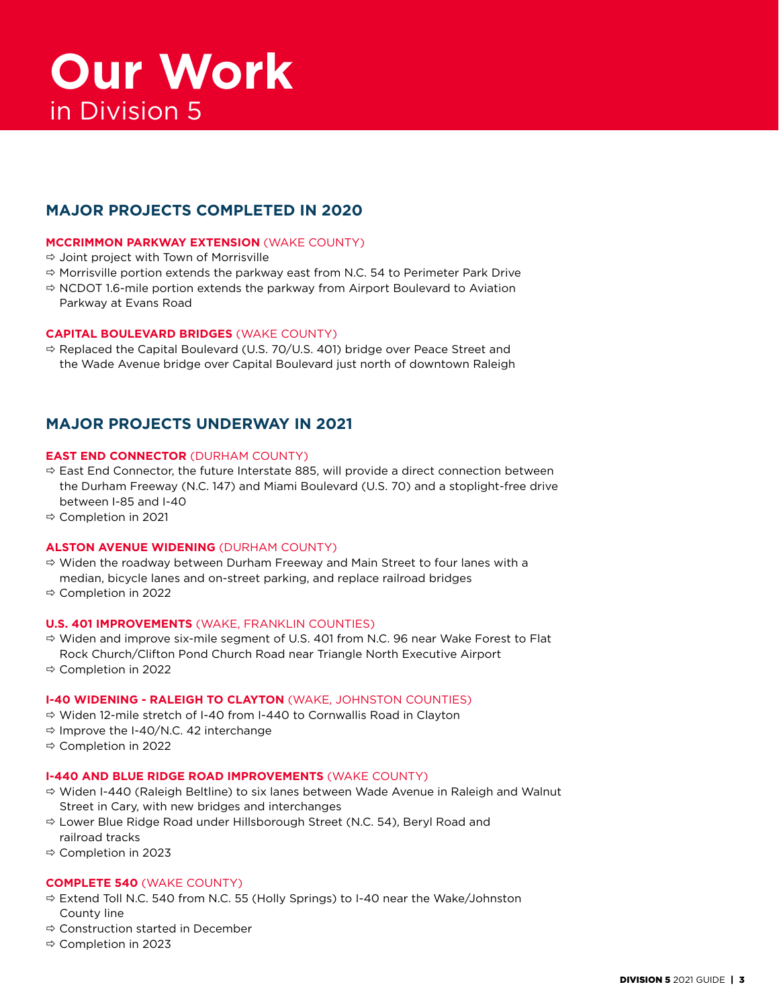#### **MAJOR PROJECTS COMPLETED IN 2020**

#### **MCCRIMMON PARKWAY EXTENSION** (WAKE COUNTY)

- $\Rightarrow$  Joint project with Town of Morrisville
- $\Rightarrow$  Morrisville portion extends the parkway east from N.C. 54 to Perimeter Park Drive
- $\Rightarrow$  NCDOT 1.6-mile portion extends the parkway from Airport Boulevard to Aviation Parkway at Evans Road

#### **CAPITAL BOULEVARD BRIDGES** (WAKE COUNTY)

 $\Rightarrow$  Replaced the Capital Boulevard (U.S. 70/U.S. 401) bridge over Peace Street and the Wade Avenue bridge over Capital Boulevard just north of downtown Raleigh

#### **MAJOR PROJECTS UNDERWAY IN 2021**

#### **EAST END CONNECTOR** (DURHAM COUNTY)

- $\Rightarrow$  East End Connector, the future Interstate 885, will provide a direct connection between the Durham Freeway (N.C. 147) and Miami Boulevard (U.S. 70) and a stoplight-free drive between I-85 and I-40
- Completion in 2021

#### **ALSTON AVENUE WIDENING** (DURHAM COUNTY)

- $\Rightarrow$  Widen the roadway between Durham Freeway and Main Street to four lanes with a median, bicycle lanes and on-street parking, and replace railroad bridges
- Completion in 2022

#### **U.S. 401 IMPROVEMENTS** (WAKE, FRANKLIN COUNTIES)

- $\Rightarrow$  Widen and improve six-mile segment of U.S. 401 from N.C. 96 near Wake Forest to Flat Rock Church/Clifton Pond Church Road near Triangle North Executive Airport
- Completion in 2022

#### **I-40 WIDENING - RALEIGH TO CLAYTON** (WAKE, JOHNSTON COUNTIES)

- Widen 12-mile stretch of I-40 from I-440 to Cornwallis Road in Clayton
- $\Rightarrow$  Improve the I-40/N.C. 42 interchange
- Completion in 2022

#### **I-440 AND BLUE RIDGE ROAD IMPROVEMENTS** (WAKE COUNTY)

- $\Rightarrow$  Widen I-440 (Raleigh Beltline) to six lanes between Wade Avenue in Raleigh and Walnut Street in Cary, with new bridges and interchanges
- Lower Blue Ridge Road under Hillsborough Street (N.C. 54), Beryl Road and railroad tracks
- Completion in 2023

#### **COMPLETE 540** (WAKE COUNTY)

- $\Rightarrow$  Extend Toll N.C. 540 from N.C. 55 (Holly Springs) to I-40 near the Wake/Johnston County line
- $\Leftrightarrow$  Construction started in December
- Completion in 2023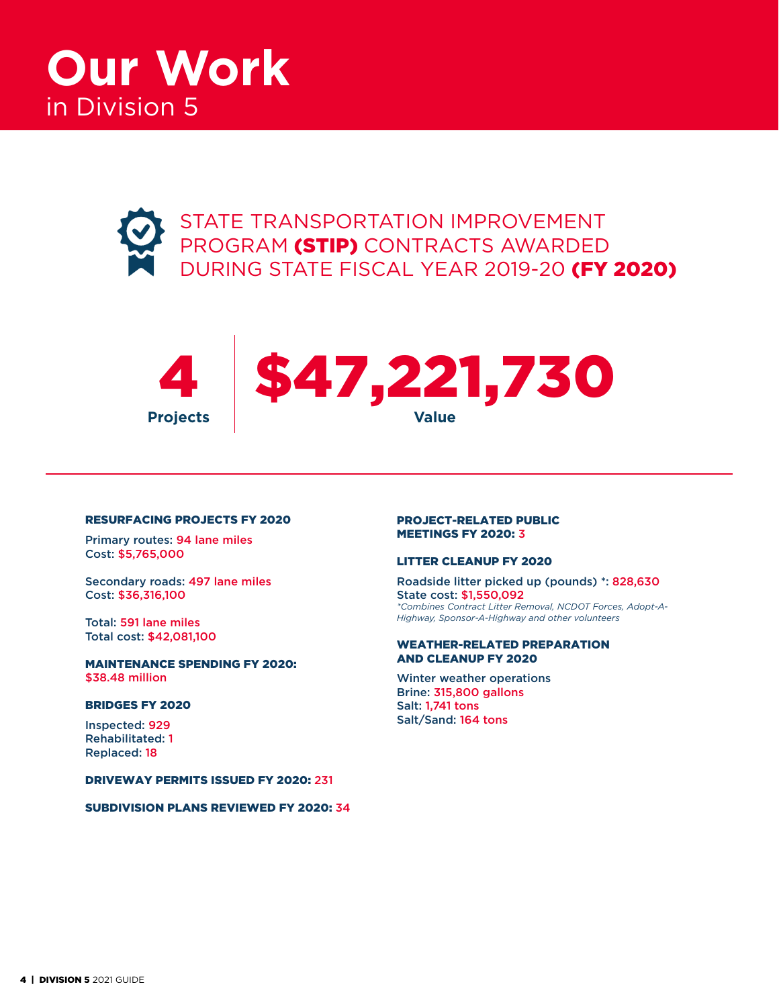





#### RESURFACING PROJECTS FY 2020

Primary routes: 94 lane miles Cost: \$5,765,000

Secondary roads: 497 lane miles Cost: \$36,316,100

Total: 591 lane miles Total cost: \$42,081,100

MAINTENANCE SPENDING FY 2020: \$38.48 million

#### BRIDGES FY 2020

Inspected: 929 Rehabilitated: 1 Replaced: 18

DRIVEWAY PERMITS ISSUED FY 2020: 231

SUBDIVISION PLANS REVIEWED FY 2020: 34

#### PROJECT-RELATED PUBLIC MEETINGS FY 2020: 3

#### LITTER CLEANUP FY 2020

Roadside litter picked up (pounds) \*: 828,630 State cost: \$1,550,092 *\*Combines Contract Litter Removal, NCDOT Forces, Adopt-A-Highway, Sponsor-A-Highway and other volunteers*

#### WEATHER-RELATED PREPARATION AND CLEANUP FY 2020

Winter weather operations Brine: 315,800 gallons Salt: 1,741 tons Salt/Sand: 164 tons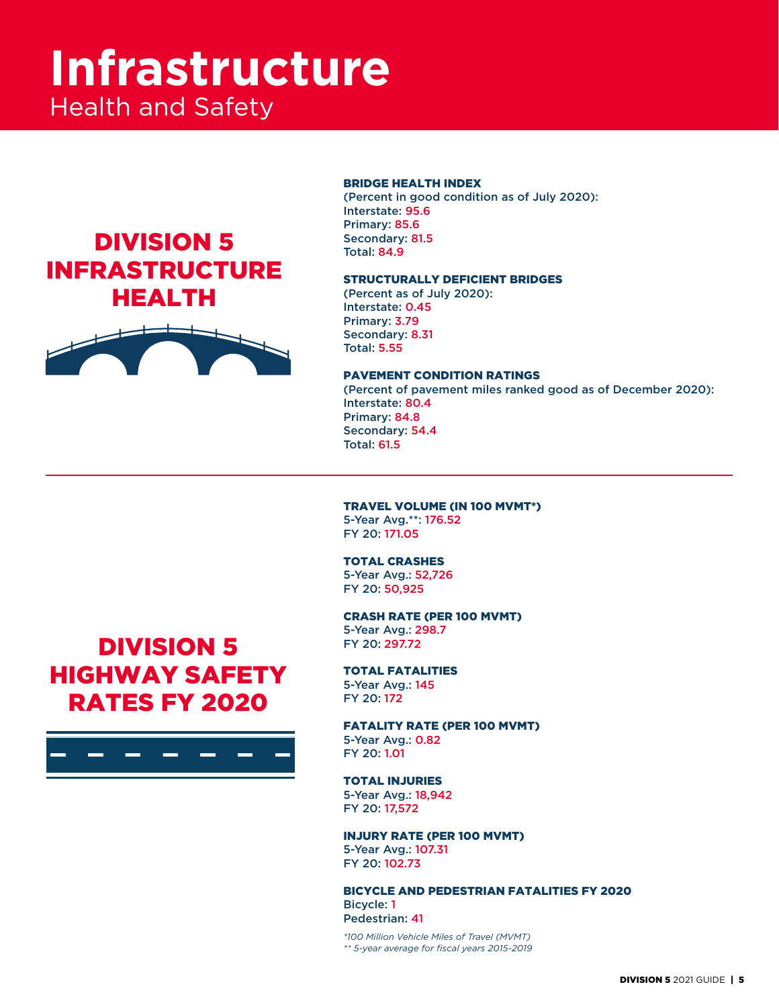# **Infrastructure** Health and Safety

## DIVISION 5 INFRASTRUCTURE HEALTH



#### BRIDGE HEALTH INDEX

(Percent in good condition as of July 2020): Interstate: 95.6 Primary: 85.6 Secondary: 81.5 Total: 84.9

#### STRUCTURALLY DEFICIENT BRIDGES

(Percent as of July 2020): Interstate: 0.45 Primary: 3.79 Secondary: 8.31 Total: 5.55

#### PAVEMENT CONDITION RATINGS

(Percent of pavement miles ranked good as of December 2020): Interstate: 80.4 Primary: 84.8 Secondary: 54.4 Total: 61.5

#### TRAVEL VOLUME (IN 100 MVMT\*)

5-Year Avg.\*\*: 176.52 FY 20: 171.05

#### TOTAL CRASHES

5-Year Avg.: 52,726 FY 20: 50,925

#### CRASH RATE (PER 100 MVMT)

5-Year Avg.: 298.7 FY 20: 297.72

#### TOTAL FATALITIES

5-Year Avg.: 145 FY 20: 172

#### FATALITY RATE (PER 100 MVMT)

5-Year Avg.: 0.82 FY 20: 1.01

#### TOTAL INJURIES

5-Year Avg.: 18,942 FY 20: 17,572

#### INJURY RATE (PER 100 MVMT) 5-Year Avg.: 107.31

FY 20: 102.73

#### BICYCLE AND PEDESTRIAN FATALITIES FY 2020 Bicycle: 1 Pedestrian: 41

*\*100 Million Vehicle Miles of Travel (MVMT) \*\* 5-year average for fiscal years 2015-2019*

## DIVISION 5 HIGHWAY SAFETY RATES FY 2020

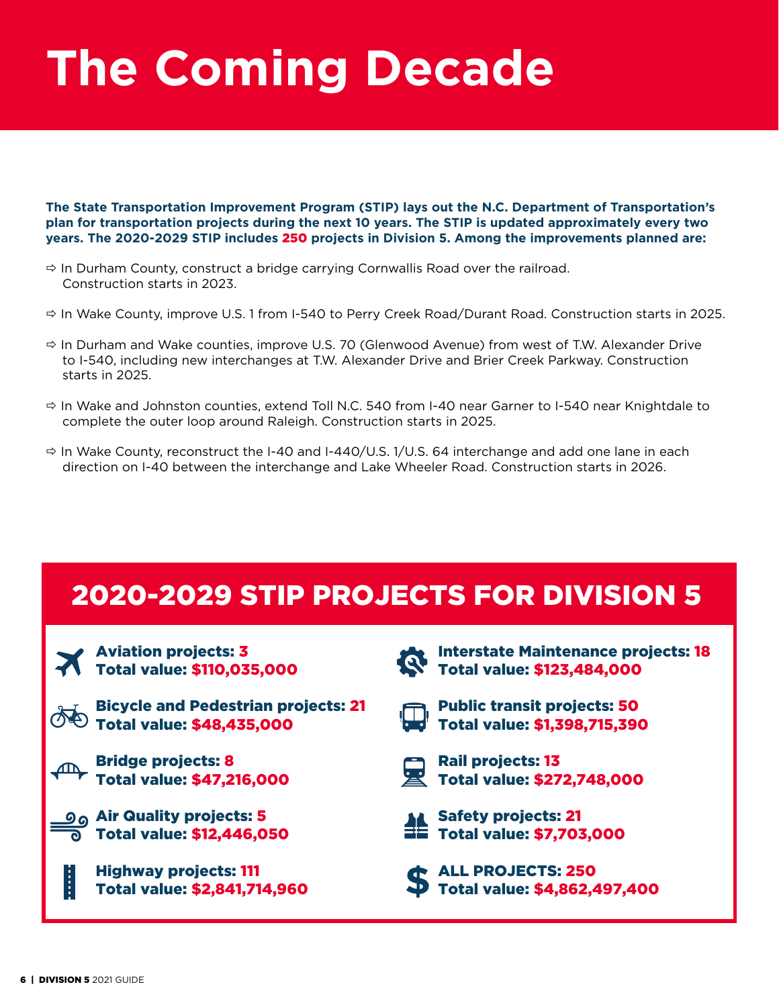# **The Coming Decade**

**The State Transportation Improvement Program (STIP) lays out the N.C. Department of Transportation's plan for transportation projects during the next 10 years. The STIP is updated approximately every two years. The 2020-2029 STIP includes** 250 **projects in Division 5. Among the improvements planned are:**

- $\Rightarrow$  In Durham County, construct a bridge carrying Cornwallis Road over the railroad. Construction starts in 2023.
- $\Rightarrow$  In Wake County, improve U.S. 1 from I-540 to Perry Creek Road/Durant Road. Construction starts in 2025.
- $\Rightarrow$  In Durham and Wake counties, improve U.S. 70 (Glenwood Avenue) from west of T.W. Alexander Drive to I-540, including new interchanges at T.W. Alexander Drive and Brier Creek Parkway. Construction starts in 2025.
- $\Rightarrow$  In Wake and Johnston counties, extend Toll N.C. 540 from I-40 near Garner to I-540 near Knightdale to complete the outer loop around Raleigh. Construction starts in 2025.
- $\Rightarrow$  In Wake County, reconstruct the I-40 and I-440/U.S. 1/U.S. 64 interchange and add one lane in each direction on I-40 between the interchange and Lake Wheeler Road. Construction starts in 2026.

## 2020-2029 STIP PROJECTS FOR DIVISION 5

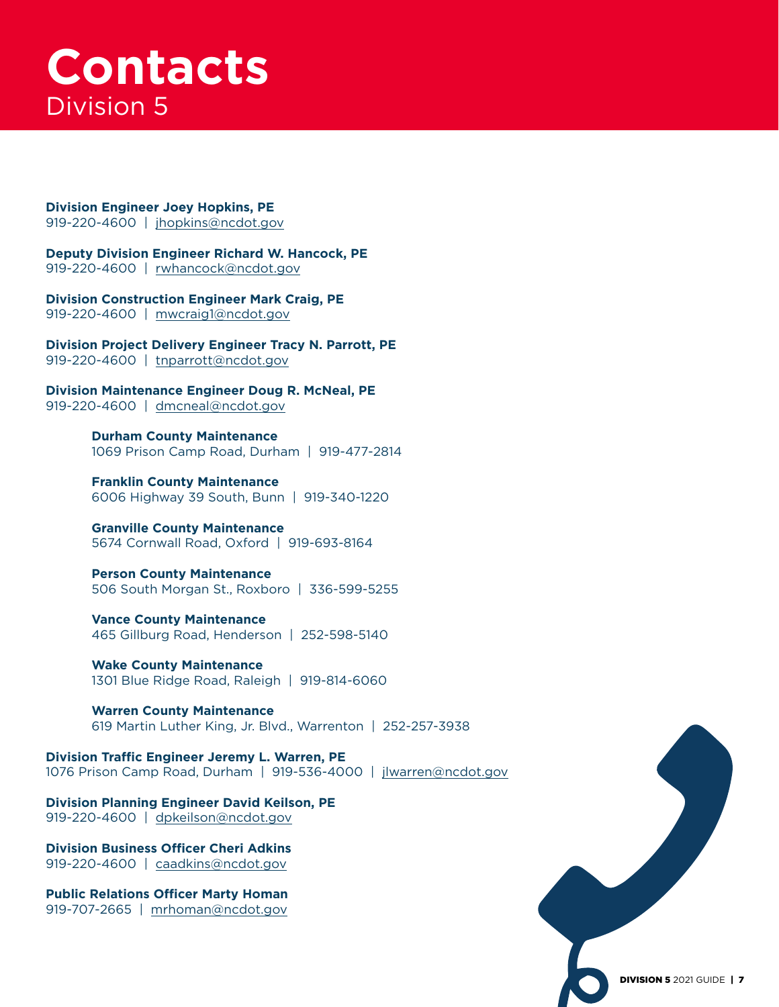# **Contacts** Division 5

**Division Engineer Joey Hopkins, PE** 919-220-4600 | [jhopkins@ncdot.gov](mailto:jhopkins@ncdot.gov)

**Deputy Division Engineer Richard W. Hancock, PE** 919-220-4600 | [rwhancock@ncdot.gov](mailto:rwhancock@ncdot.gov)

**Division Construction Engineer Mark Craig, PE** 919-220-4600 | [mwcraig1@ncdot.gov](mailto:mwcraig1@ncdot.gov)

**Division Project Delivery Engineer Tracy N. Parrott, PE** 919-220-4600 | [tnparrott@ncdot.gov](mailto:tnparrott@ncdot.gov)

**Division Maintenance Engineer Doug R. McNeal, PE** 919-220-4600 | [dmcneal@ncdot.gov](mailto:dmcneal@ncdot.gov)

> **Durham County Maintenance** 1069 Prison Camp Road, Durham | 919-477-2814

**Franklin County Maintenance** 6006 Highway 39 South, Bunn | 919-340-1220

**Granville County Maintenance** 5674 Cornwall Road, Oxford | 919-693-8164

**Person County Maintenance** 506 South Morgan St., Roxboro | 336-599-5255

**Vance County Maintenance** 465 Gillburg Road, Henderson | 252-598-5140

**Wake County Maintenance** 1301 Blue Ridge Road, Raleigh | 919-814-6060

**Warren County Maintenance** 619 Martin Luther King, Jr. Blvd., Warrenton | 252-257-3938

**Division Traffic Engineer Jeremy L. Warren, PE** 1076 Prison Camp Road, Durham | 919-536-4000 | [jlwarren@ncdot.gov](mailto:jlwarren@ncdot.gov)

**Division Planning Engineer David Keilson, PE** 919-220-4600 | [dpkeilson@ncdot.gov](mailto:dpkeilson@ncdot.gov)

**Division Business Officer Cheri Adkins** 919-220-4600 | [caadkins@ncdot.gov](mailto:caadkins@ncdot.gov)

**Public Relations Officer Marty Homan** 919-707-2665 | [mrhoman@ncdot.gov](mailto:mrhoman@ncdot.gov)

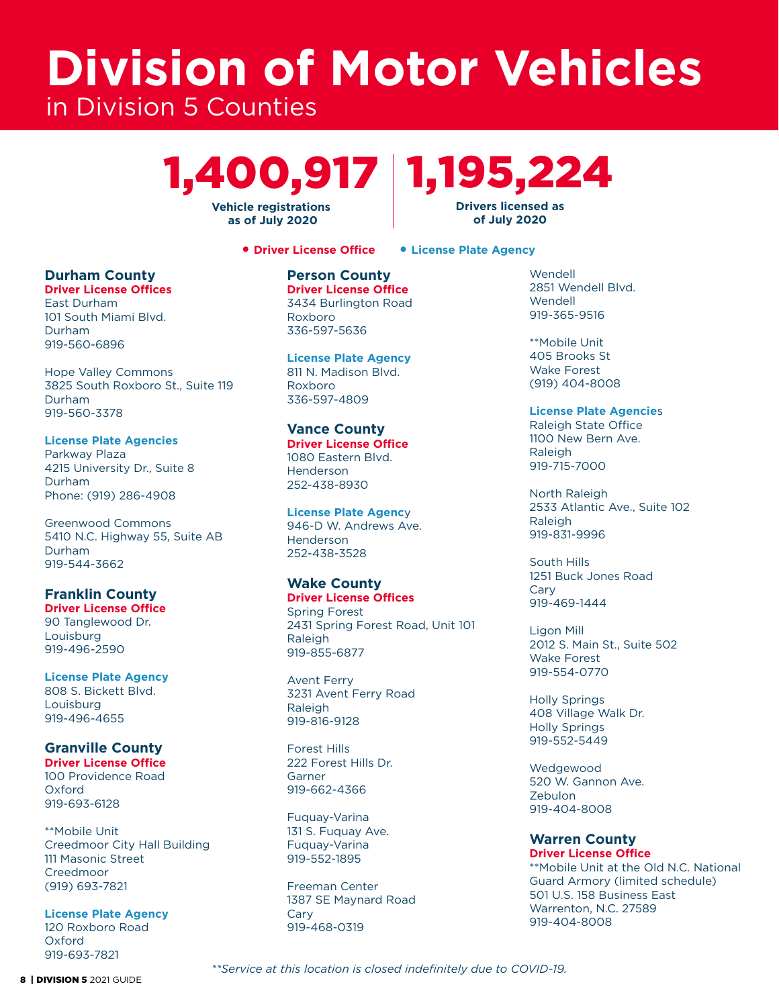# **Division of Motor Vehicles** in Division 5 Counties

# 1,400,917 1,195,224 **Drivers licensed as**

**Vehicle registrations as of July 2020** 

**Driver License Office License Plate Agency**

**of July 2020**

#### **Durham County**

**Driver License Offices** East Durham 101 South Miami Blvd. Durham 919-560-6896

Hope Valley Commons 3825 South Roxboro St., Suite 119 Durham 919-560-3378

**License Plate Agencies** Parkway Plaza 4215 University Dr., Suite 8 Durham Phone: (919) 286-4908

Greenwood Commons 5410 N.C. Highway 55, Suite AB Durham 919-544-3662

**Franklin County Driver License Office** 90 Tanglewood Dr. Louisburg

919-496-2590

**License Plate Agency** 808 S. Bickett Blvd. Louisburg 919-496-4655

#### **Granville County**

**Driver License Office** 100 Providence Road Oxford 919-693-6128

\*\*Mobile Unit Creedmoor City Hall Building 111 Masonic Street Creedmoor (919) 693-7821

**License Plate Agency** 120 Roxboro Road Oxford 919-693-7821

**Person County Driver License Office**

3434 Burlington Road Roxboro 336-597-5636

**License Plate Agency** 811 N. Madison Blvd. Roxboro 336-597-4809

#### **Vance County**

**Driver License Office** 1080 Eastern Blvd. Henderson 252-438-8930

**License Plate Agenc**y 946-D W. Andrews Ave. Henderson 252-438-3528

#### **Wake County**

**Driver License Offices** Spring Forest 2431 Spring Forest Road, Unit 101 **Raleigh** 919-855-6877

Avent Ferry 3231 Avent Ferry Road Raleigh 919-816-9128

Forest Hills 222 Forest Hills Dr. Garner 919-662-4366

Fuquay-Varina 131 S. Fuquay Ave. Fuquay-Varina 919-552-1895

Freeman Center 1387 SE Maynard Road Cary 919-468-0319

Wendell 2851 Wendell Blvd. Wendell 919-365-9516

\*\*Mobile Unit 405 Brooks St Wake Forest (919) 404-8008

#### **License Plate Agencie**s

Raleigh State Office 1100 New Bern Ave. Raleigh 919-715-7000

North Raleigh 2533 Atlantic Ave., Suite 102 **Raleigh** 919-831-9996

South Hills 1251 Buck Jones Road Cary 919-469-1444

Ligon Mill 2012 S. Main St., Suite 502 Wake Forest 919-554-0770

Holly Springs 408 Village Walk Dr. Holly Springs 919-552-5449

**Wedgewood** 520 W. Gannon Ave. Zebulon 919-404-8008

#### **Warren County Driver License Office**

\*\*Mobile Unit at the Old N.C. National Guard Armory (limited schedule) 501 U.S. 158 Business East Warrenton, N.C. 27589 919-404-8008

8 | DIVISION 5 2021 GUIDE

*\*\*Service at this location is closed indefinitely due to COVID-19.*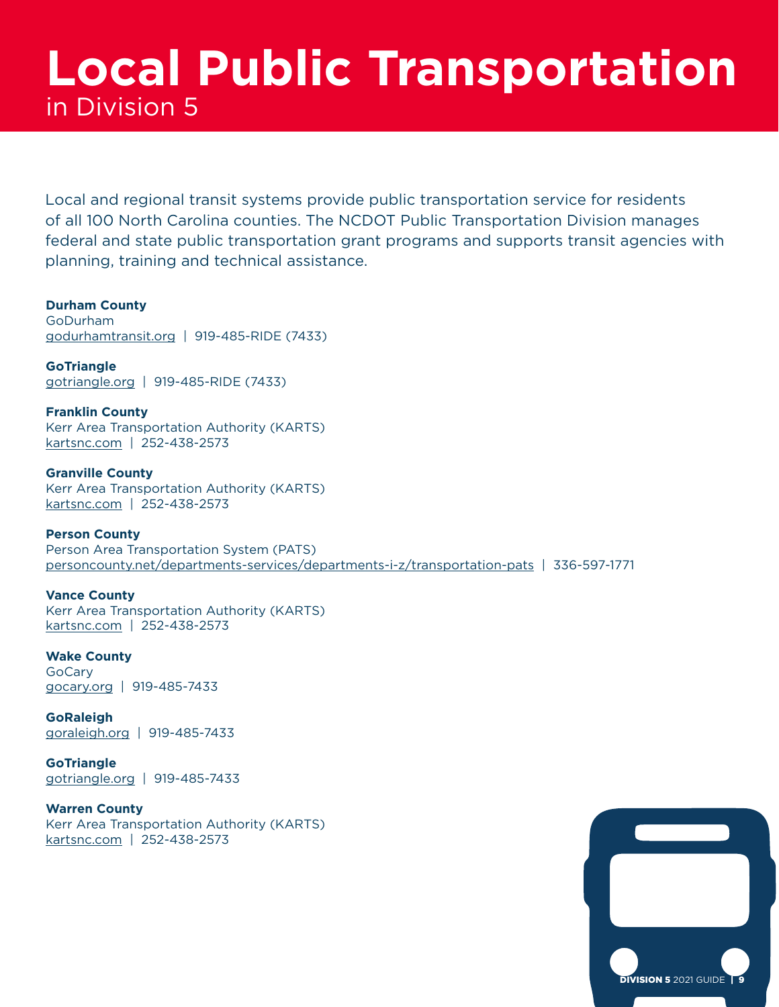# **Local Public Transportation** in Division 5

Local and regional transit systems provide public transportation service for residents of all 100 North Carolina counties. The NCDOT Public Transportation Division manages federal and state public transportation grant programs and supports transit agencies with planning, training and technical assistance.

**Durham County** GoDurham [godurhamtransit.org](http://godurhamtransit.org) | 919-485-RIDE (7433)

**GoTriangle** [gotriangle.org](http://gotriangle.org) | 919-485-RIDE (7433)

**Franklin County** Kerr Area Transportation Authority (KARTS) [kartsnc.com](http://kartsnc.com) | 252-438-2573

**Granville County** Kerr Area Transportation Authority (KARTS) [kartsnc.com](http://kartsnc.com) | 252-438-2573

**Person County** Person Area Transportation System (PATS) [personcounty.net/departments-services/departments-i-z/transportation-pats](http://personcounty.net/departments-services/departments-i-z/transportation-pats) | 336-597-1771

**Vance County** Kerr Area Transportation Authority (KARTS) [kartsnc.com](http://kartsnc.com) | 252-438-2573

**Wake County** GoCary [gocary.org](http://gocary.org) | 919-485-7433

**GoRaleigh** [goraleigh.org](http://goraleigh.org) | 919-485-7433

**GoTriangle** [gotriangle.org](http://gotriangle.org) | 919-485-7433

**Warren County** Kerr Area Transportation Authority (KARTS) [kartsnc.com](http://kartsnc.com) | 252-438-2573

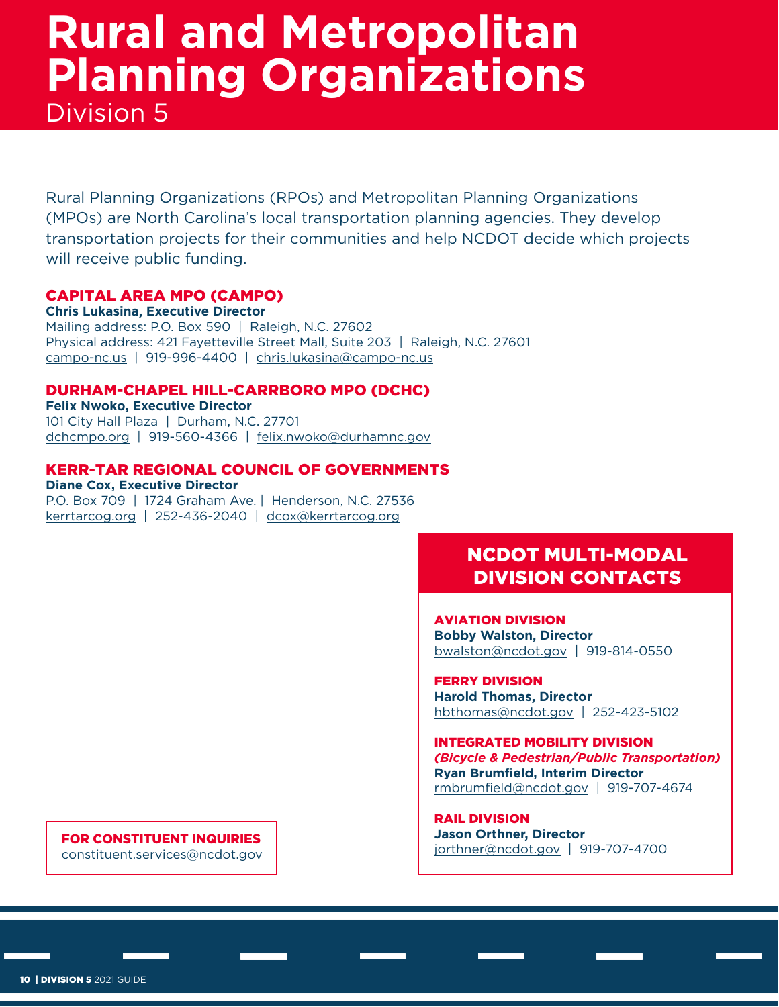# **Rural and Metropolitan Planning Organizations** Division 5

Rural Planning Organizations (RPOs) and Metropolitan Planning Organizations (MPOs) are North Carolina's local transportation planning agencies. They develop transportation projects for their communities and help NCDOT decide which projects will receive public funding.

#### CAPITAL AREA MPO (CAMPO)

**Chris Lukasina, Executive Director** Mailing address: P.O. Box 590 | Raleigh, N.C. 27602 Physical address: 421 Fayetteville Street Mall, Suite 203 | Raleigh, N.C. 27601 [campo-nc.us](http://campo-nc.us) | 919-996-4400 | [chris.lukasina@campo-nc.us](mailto:chris.lukasina@campo-nc.us)

#### DURHAM-CHAPEL HILL-CARRBORO MPO (DCHC)

**Felix Nwoko, Executive Director** 101 City Hall Plaza | Durham, N.C. 27701 [dchcmpo.org](http://dchcmpo.org) | 919-560-4366 | [felix.nwoko@durhamnc.gov](mailto:felix.nwoko@durhamnc.gov)

#### KERR-TAR REGIONAL COUNCIL OF GOVERNMENTS

**Diane Cox, Executive Director** P.O. Box 709 | 1724 Graham Ave. | Henderson, N.C. 27536 [kerrtarcog.org](http://kerrtarcog.org) | 252-436-2040 | [dcox@kerrtarcog.org](mailto:dcox@kerrtarcog.org)

### NCDOT MULTI-MODAL DIVISION CONTACTS

AVIATION DIVISION **Bobby Walston, Director** [bwalston@ncdot.gov](mailto:bwalston@ncdot.gov) | 919-814-0550

FERRY DIVISION **Harold Thomas, Director** [hbthomas@ncdot.gov](mailto:hbthomas@ncdot.gov) | 252-423-5102

INTEGRATED MOBILITY DIVISION *(Bicycle & Pedestrian/Public Transportation)* **Ryan Brumfield, Interim Director** [rmbrumfield@ncdot.gov](mailto:rmbrumfield@ncdot.gov) | 919-707-4674

RAIL DIVISION **Jason Orthner, Director FOR CONSTITUENT INQUIRIES**<br>constituent convices and data any services and data and development of the iorthner@ncdot.gov | 919-707-4700

constituent.services@ncdot.gov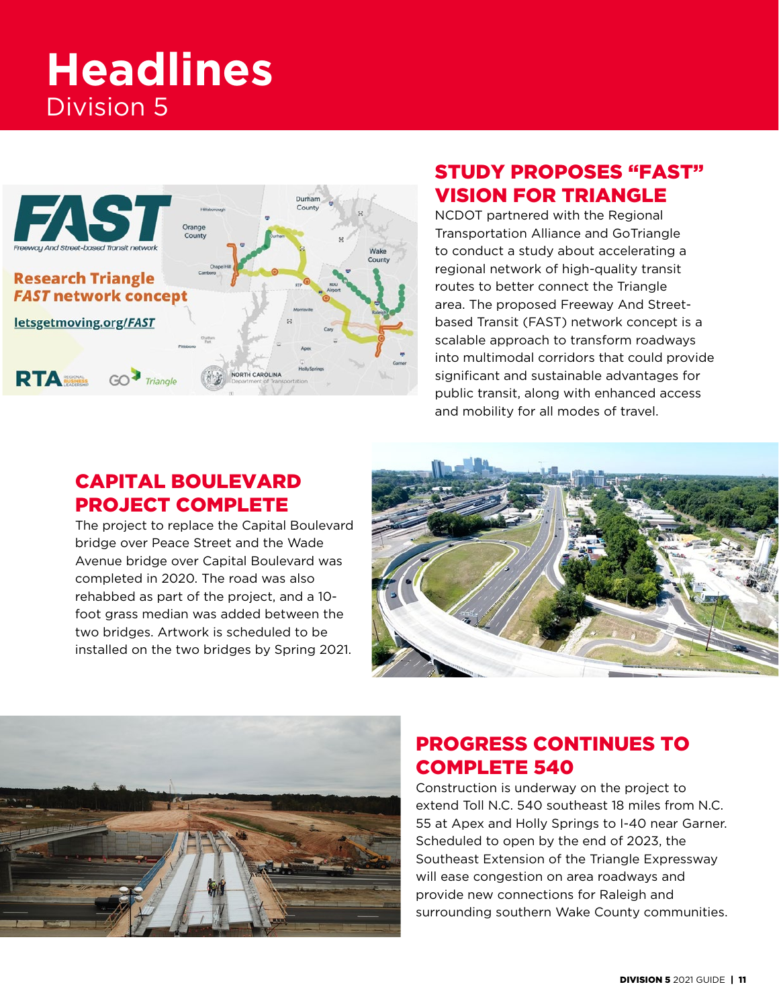# **Headlines** Division 5



### STUDY PROPOSES "FAST" VISION FOR TRIANGLE

NCDOT partnered with the Regional Transportation Alliance and GoTriangle to conduct a study about accelerating a regional network of high-quality transit routes to better connect the Triangle area. The proposed Freeway And Streetbased Transit (FAST) network concept is a scalable approach to transform roadways into multimodal corridors that could provide significant and sustainable advantages for public transit, along with enhanced access and mobility for all modes of travel.

### CAPITAL BOULEVARD PROJECT COMPLETE

The project to replace the Capital Boulevard bridge over Peace Street and the Wade Avenue bridge over Capital Boulevard was completed in 2020. The road was also rehabbed as part of the project, and a 10 foot grass median was added between the two bridges. Artwork is scheduled to be installed on the two bridges by Spring 2021.





### PROGRESS CONTINUES TO COMPLETE 540

Construction is underway on the project to extend Toll N.C. 540 southeast 18 miles from N.C. 55 at Apex and Holly Springs to I-40 near Garner. Scheduled to open by the end of 2023, the Southeast Extension of the Triangle Expressway will ease congestion on area roadways and provide new connections for Raleigh and surrounding southern Wake County communities.